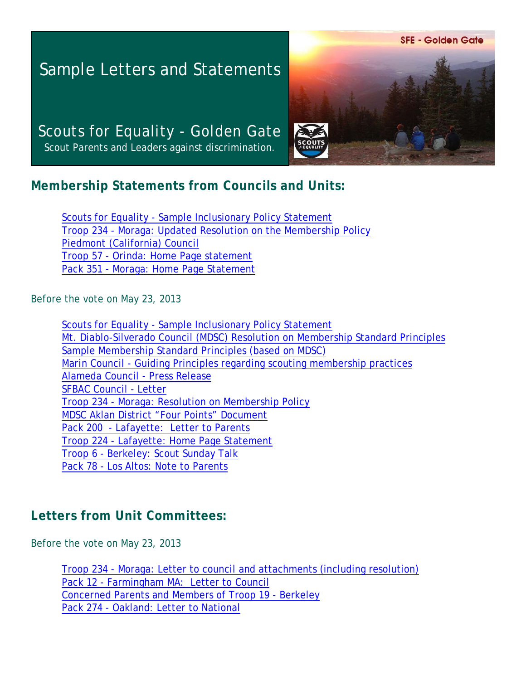**SFE - Golden Gate** 

# Sample Letters and Statements

Scouts for Equality - Golden Gate Scout Parents and Leaders against discrimination.



## **Membership Statements from Councils and Units:**

[Scouts for Equality - Sample Inclusionary Policy Statement](http://moragascouting.org/SFE_po.pdf) [Troop 234 - Moraga: Updated Resolution on the Membership Policy](http://moragascouting.org/T234_po.pdf) [Piedmont \(California\) Council](http://moragascouting.org/SFE_pc.pdf) [Troop 57 - Orinda: Home Page statement](http://orinda57.mytroop.us/aboutus) [Pack 351 - Moraga: Home Page Statement](http://moragascouting.org/SFE_LeU08.pdf)

Before the vote on May 23, 2013

[Scouts for Equality - Sample Inclusionary Policy Statement](http://moragascouting.org/SFE_LeU01.pdf) [Mt. Diablo-Silverado Council \(MDSC\) Resolution on Membership Standard Principles](http://moragascouting.org/SFE_MDSC.pdf) [Sample Membership Standard Principles \(based on MDSC\)](http://moragascouting.org/SFE_LeU01.pdf) [Marin Council - Guiding Principles regarding scouting membership practices](http://www.moragascouting.org/SFE_ma.pdf) [Alameda Council - Press Release](http://www.moragascouting.org/SFE_acpr.pdf) [SFBAC Council - Letter](http://www.moragascouting.org/SFE_sfle.pdf) [Troop 234 - Moraga: Resolution on Membership Policy](http://www.moragascouting.org/T234_rv.pdf) [MDSC Aklan District "Four Points" Document](http://moragascouting.org/T234_fp.pdf) [Pack 200 - Lafayette: Letter to Parents](http://moragascouting.org/SFE_LeU05.pdf) [Troop 224 - Lafayette: Home Page Statement](http://moragascouting.org/SFE_LeU06.pdf) [Troop 6 - Berkeley: Scout Sunday Talk](http://moragascouting.org/SFE_LeU09.pdf) [Pack 78 - Los Altos: Note to Parents](http://moragascouting.org/SFE_LeU10.pdf)

## **Letters from Unit Committees:**

Before the vote on May 23, 2013

[Troop 234 - Moraga: Letter to council and attachments \(including resolution\)](http://moragascouting.org/T234_re.pdf) [Pack 12 - Farmingham MA: Letter to Council](http://moragascouting.org/SFE_LeU04.pdf) [Concerned Parents and Members of Troop 19 - Berkeley](http://moragascouting.org/SFE_LeU07.pdf) [Pack 274 - Oakland: Letter to National](http://moragascouting.org/SFE_LeU11.pdf)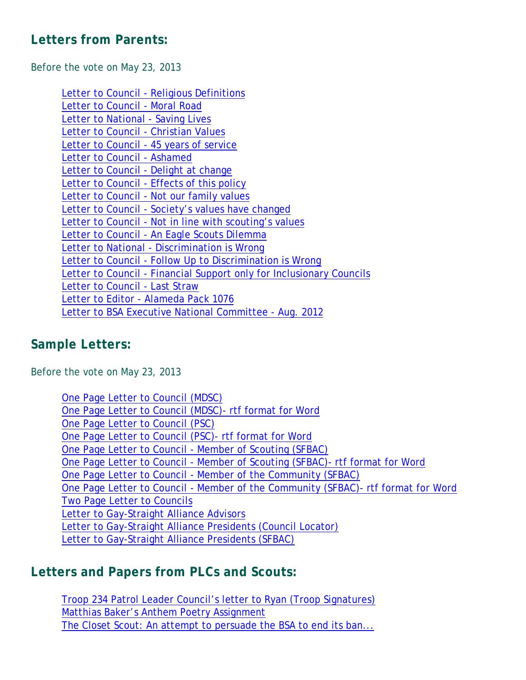### **Letters from Parents:**

Before the vote on May 23, 2013

[Letter to Council - Religious Definitions](http://moragascouting.org/SFE_LeP03.pdf) [Letter to Council - Moral Road](http://moragascouting.org/SFE_LeP04.pdf) [Letter to National - Saving Lives](http://moragascouting.org/SFE_LeP05.pdf) [Letter to Council - Christian Values](http://moragascouting.org/SFE_LeP06.pdf) [Letter to Council - 45 years of service](http://moragascouting.org/SFE_LeP07.pdf) [Letter to Council - Ashamed](http://moragascouting.org/SFE_LeP08.pdf) [Letter to Council - Delight at change](http://moragascouting.org/SFE_LeP09.pdf) [Letter to Council - Effects of this policy](http://moragascouting.org/SFE_LeP10.pdf) [Letter to Council - Not our family values](http://moragascouting.org/SFE_LeP11.pdf) [Letter to Council - Society's values have changed](http://moragascouting.org/SFE_LeP12.pdf) [Letter to Council - Not in line with scouting's values](http://moragascouting.org/SFE_LeP14.pdf) [Letter to Council - An Eagle Scouts Dilemma](http://moragascouting.org/SFE_LeP15.pdf) [Letter to National - Discrimination is Wrong](http://moragascouting.org/SFE_LeP16.pdf) [Letter to Council - Follow Up to Discrimination is Wrong](http://moragascouting.org/SFE_LeP17.pdf) [Letter to Council - Financial Support only for Inclusionary Councils](http://moragascouting.org/SFE_LeP18.pdf) [Letter to Council - Last Straw](http://moragascouting.org/SFE_LeP19.pdf) [Letter to Editor - Alameda Pack 1076](http://moragascouting.org/SFE_LeP20.pdf) [Letter to BSA Executive National Committee - Aug. 2012](http://www.scribd.com/doc/103841230/Letter-to-BSA-National-Executive-Committee)

#### **Sample Letters:**

Before the vote on May 23, 2013

| One Page Letter to Council (MDSC)                                                  |
|------------------------------------------------------------------------------------|
| One Page Letter to Council (MDSC) - rtf format for Word                            |
| One Page Letter to Council (PSC)                                                   |
| One Page Letter to Council (PSC) - rtf format for Word                             |
| One Page Letter to Council - Member of Scouting (SFBAC)                            |
| One Page Letter to Council - Member of Scouting (SFBAC) - rtf format for Word      |
| One Page Letter to Council - Member of the Community (SFBAC)                       |
| One Page Letter to Council - Member of the Community (SFBAC) - rtf format for Word |
| Two Page Letter to Councils                                                        |
| Letter to Gay-Straight Alliance Advisors                                           |
| Letter to Gay-Straight Alliance Presidents (Council Locator)                       |
| Letter to Gay-Straight Alliance Presidents (SFBAC)                                 |

## **Letters and Papers from PLCs and Scouts:**

[Troop 234 Patrol Leader Council's letter to Ryan \(Troop Signatures\)](http://moragascouting.org/SFE_LeS02.pdf) [Matthias Baker's Anthem Poetry Assignment](http://moragascouting.org/SFE_LeS01.pdf) [The Closet Scout: An attempt to persuade the BSA to end its ban...](http://moragascouting.org/SFE_LeS03.pdf)